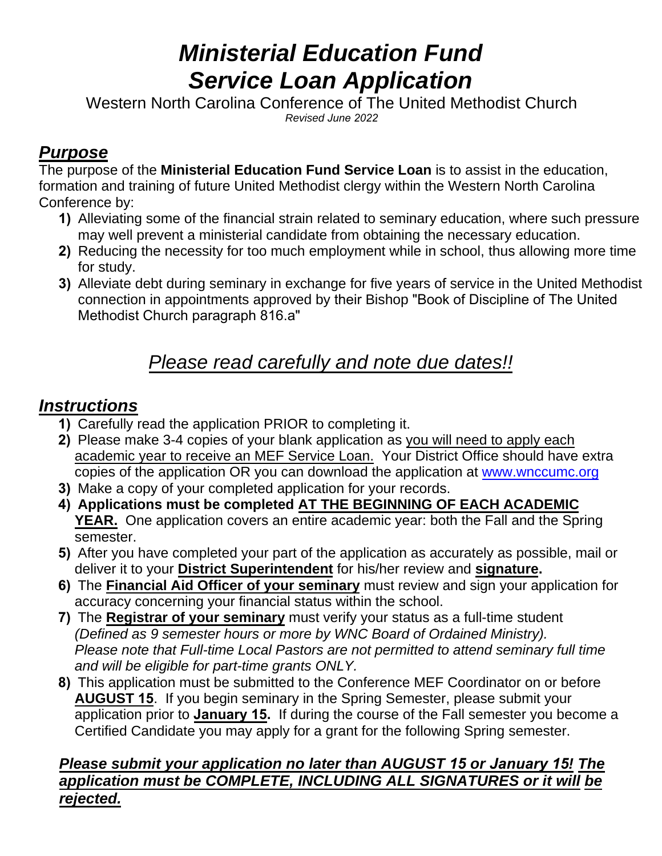# *Ministerial Education Fund Service Loan Application*

Western North Carolina Conference of The United Methodist Church *Revised June 2022*

# *Purpose*

The purpose of the **Ministerial Education Fund Service Loan** is to assist in the education, formation and training of future United Methodist clergy within the Western North Carolina Conference by:

- **1)** Alleviating some of the financial strain related to seminary education, where such pressure may well prevent a ministerial candidate from obtaining the necessary education.
- **2)** Reducing the necessity for too much employment while in school, thus allowing more time for study.
- **3)** Alleviate debt during seminary in exchange for five years of service in the United Methodist connection in appointments approved by their Bishop "Book of Discipline of The United Methodist Church paragraph 816.a"

# *Please read carefully and note due dates!!*

## *Instructions*

- **1)** Carefully read the application PRIOR to completing it.
- **2)** Please make 3-4 copies of your blank application as you will need to apply each academic year to receive an MEF Service Loan. Your District Office should have extra copies of the application OR you can download the application at www.wnccumc.org
- **3)** Make a copy of your completed application for your records.
- **4) Applications must be completed AT THE BEGINNING OF EACH ACADEMIC YEAR.** One application covers an entire academic year: both the Fall and the Spring semester.
- **5)** After you have completed your part of the application as accurately as possible, mail or deliver it to your **District Superintendent** for his/her review and **signature.**
- **6)** The **Financial Aid Officer of your seminary** must review and sign your application for accuracy concerning your financial status within the school.
- **7)** The **Registrar of your seminary** must verify your status as a full-time student *(Defined as 9 semester hours or more by WNC Board of Ordained Ministry). Please note that Full-time Local Pastors are not permitted to attend seminary full time and will be eligible for part-time grants ONLY.*
- **8)** This application must be submitted to the Conference MEF Coordinator on or before **AUGUST 15**. If you begin seminary in the Spring Semester, please submit your application prior to **January 15.** If during the course of the Fall semester you become a Certified Candidate you may apply for a grant for the following Spring semester.

## *Please submit your application no later than AUGUST 15 or January 15! The application must be COMPLETE, INCLUDING ALL SIGNATURES or it will be rejected.*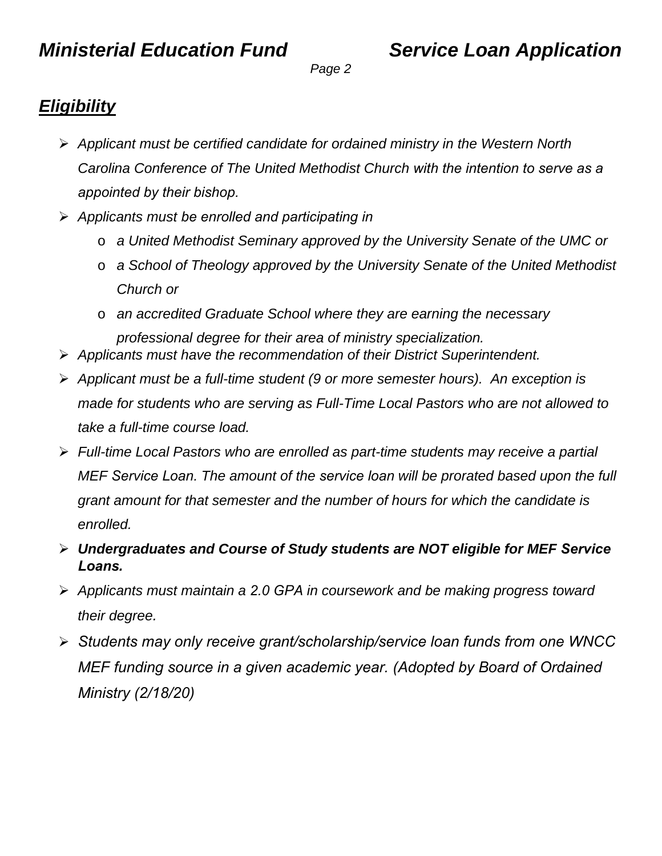*Page 2* 

# *Eligibility*

- *Applicant must be certified candidate for ordained ministry in the Western North Carolina Conference of The United Methodist Church with the intention to serve as a appointed by their bishop.*
- *Applicants must be enrolled and participating in*
	- o *a United Methodist Seminary approved by the University Senate of the UMC or*
	- o *a School of Theology approved by the University Senate of the United Methodist Church or*
	- o *an accredited Graduate School where they are earning the necessary professional degree for their area of ministry specialization.*
- *Applicants must have the recommendation of their District Superintendent.*
- *Applicant must be a full-time student (9 or more semester hours). An exception is made for students who are serving as Full-Time Local Pastors who are not allowed to take a full-time course load.*
- *Full-time Local Pastors who are enrolled as part-time students may receive a partial MEF Service Loan. The amount of the service loan will be prorated based upon the full grant amount for that semester and the number of hours for which the candidate is enrolled.*
- *Undergraduates and Course of Study students are NOT eligible for MEF Service Loans.*
- *Applicants must maintain a 2.0 GPA in coursework and be making progress toward their degree.*
- *Students may only receive grant/scholarship/service loan funds from one WNCC MEF funding source in a given academic year. (Adopted by Board of Ordained Ministry (2/18/20)*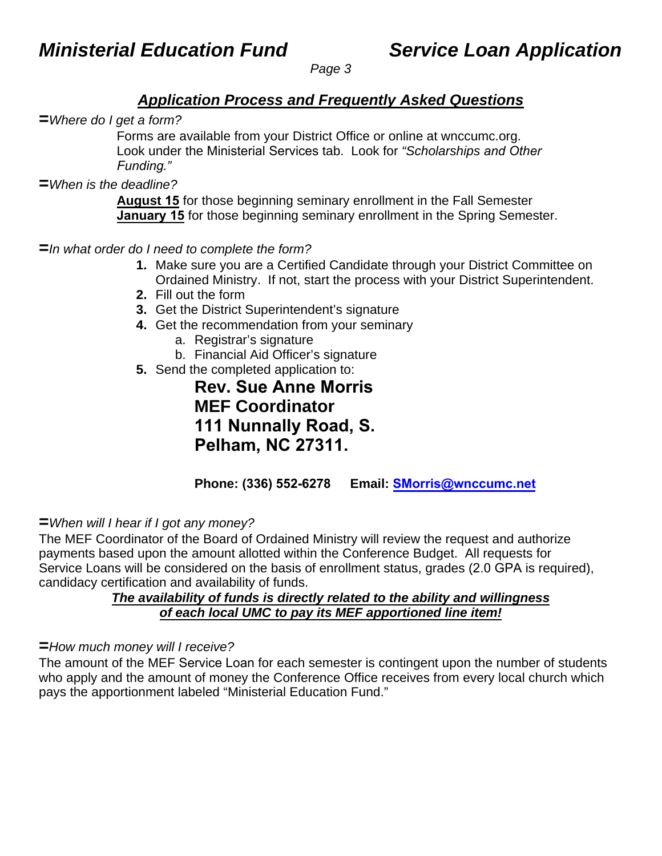# *Ministerial Education Fund Service Loan Application*

*Page 3* 

## *Application Process and Frequently Asked Questions*

**=***Where do I get a form?*

Forms are available from your District Office or online at wnccumc.org. Look under the Ministerial Services tab. Look for *"Scholarships and Other Funding."* 

**=***When is the deadline?*

**August 15** for those beginning seminary enrollment in the Fall Semester **January 15** for those beginning seminary enrollment in the Spring Semester.

### **=***In what order do I need to complete the form?*

- **1.** Make sure you are a Certified Candidate through your District Committee on Ordained Ministry. If not, start the process with your District Superintendent.
- **2.** Fill out the form
- **3.** Get the District Superintendent's signature
- **4.** Get the recommendation from your seminary
	- a. Registrar's signature
	- b. Financial Aid Officer's signature
- **5.** Send the completed application to:

**Rev. Sue Anne Morris MEF Coordinator 111 Nunnally Road, S. Pelham, NC 27311.** 

**Phone: (336) 552-6278 Email: SMorris@wnccumc.net**

### **=***When will I hear if I got any money?*

The MEF Coordinator of the Board of Ordained Ministry will review the request and authorize payments based upon the amount allotted within the Conference Budget. All requests for Service Loans will be considered on the basis of enrollment status, grades (2.0 GPA is required), candidacy certification and availability of funds.

### *The availability of funds is directly related to the ability and willingness of each local UMC to pay its MEF apportioned line item!*

### **=***How much money will I receive?*

The amount of the MEF Service Loan for each semester is contingent upon the number of students who apply and the amount of money the Conference Office receives from every local church which pays the apportionment labeled "Ministerial Education Fund."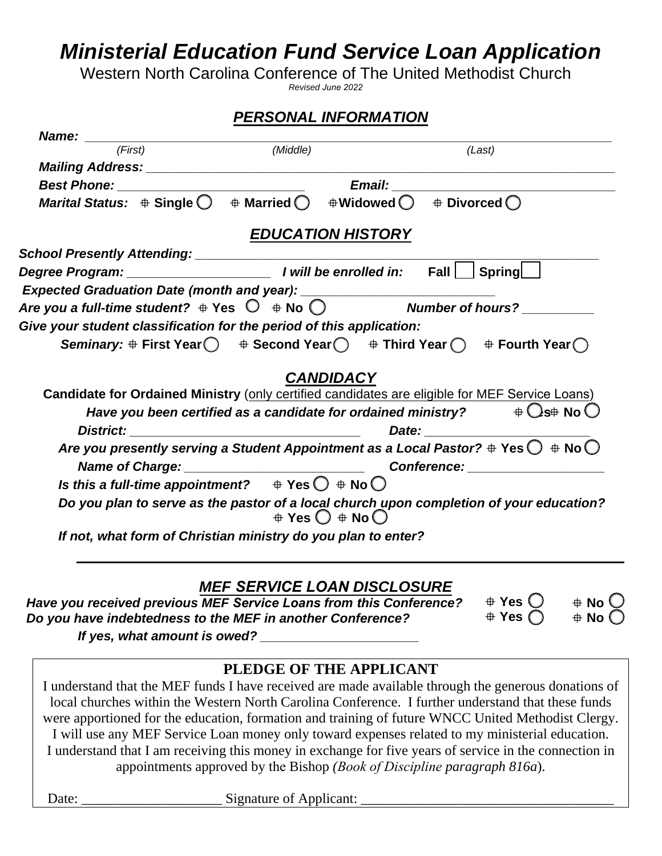*Ministerial Education Fund Service Loan Application*

Western North Carolina Conference of The United Methodist Church

*Revised June 2022*

|                                                                             |                       | <b>PERSONAL INFORMATION</b>                                                                                                                                                                                                     |
|-----------------------------------------------------------------------------|-----------------------|---------------------------------------------------------------------------------------------------------------------------------------------------------------------------------------------------------------------------------|
|                                                                             |                       |                                                                                                                                                                                                                                 |
| (First)                                                                     | $\overline{(Middle)}$ | (Last)                                                                                                                                                                                                                          |
|                                                                             |                       |                                                                                                                                                                                                                                 |
|                                                                             |                       |                                                                                                                                                                                                                                 |
|                                                                             |                       | Marital Status: $\#$ Single $\bigcirc$ $\#$ Married $\bigcirc$ $\#$ Widowed $\bigcirc$ $\#$ Divorced $\bigcirc$                                                                                                                 |
|                                                                             |                       | <b>EDUCATION HISTORY</b>                                                                                                                                                                                                        |
| School Presently Attending: Manual Community of School Presently Attending: |                       |                                                                                                                                                                                                                                 |
|                                                                             |                       | Degree Program: $\sqrt{a}$ I will be enrolled in: Fall $\bigsqcup$ Spring                                                                                                                                                       |
|                                                                             |                       |                                                                                                                                                                                                                                 |
|                                                                             |                       | Are you a full-time student? $\stackrel{+}{\text{\rm e}}$ Yes $\stackrel{-}{\text{\rm O}}$ $\stackrel{+}{\text{\rm e}}$ No $\stackrel{-}{\text{\rm O}}$ Number of hours? ______                                                 |
| Give your student classification for the period of this application:        |                       |                                                                                                                                                                                                                                 |
|                                                                             |                       | Seminary: $\#$ First Year $\bigcirc$ $\#$ Second Year $\bigcirc$ $\#$ Third Year $\bigcirc$ $\#$ Fourth Year $\bigcirc$                                                                                                         |
|                                                                             |                       |                                                                                                                                                                                                                                 |
|                                                                             |                       | <b>CANDIDACY</b>                                                                                                                                                                                                                |
|                                                                             |                       | Candidate for Ordained Ministry (only certified candidates are eligible for MEF Service Loans)                                                                                                                                  |
|                                                                             |                       | Have you been certified as a candidate for ordained ministry? $\qquad \qquad \oplus \mathbb{C}$ s $\oplus$ No $\bigcirc$                                                                                                        |
|                                                                             |                       | Date: <b>Date:</b>                                                                                                                                                                                                              |
|                                                                             |                       | Are you presently serving a Student Appointment as a Local Pastor? $\stackrel{\scriptscriptstyle\oplus}{\scriptscriptstyle\oplus}$ Yes $\bigcirc$ $\stackrel{\scriptscriptstyle\oplus}{\scriptscriptstyle\oplus}$ No $\bigcirc$ |
|                                                                             |                       | Conference: Network and Conference:                                                                                                                                                                                             |
| Is this a full-time appointment? $\quad \#$ Yes $\bigcirc \#$ No $\bigcirc$ |                       |                                                                                                                                                                                                                                 |
|                                                                             |                       | Do you plan to serve as the pastor of a local church upon completion of your education?<br>$\overset{\oplus}{\pi}$ Yes $\bigcirc$ $\overset{\oplus}{\pi}$ No $\bigcirc$                                                         |
| If not, what form of Christian ministry do you plan to enter?               |                       |                                                                                                                                                                                                                                 |
|                                                                             |                       | <b>MEF SERVICE LOAN DISCLOSURE</b>                                                                                                                                                                                              |

| Have you received previous MEF Service Loans from this Conference? | $\oplus$ Yes $\bigcup$ | # No |
|--------------------------------------------------------------------|------------------------|------|
| Do you have indebtedness to the MEF in another Conference?         | $\oplus$ Yes $\bigcap$ | # No |
| If yes, what amount is owed?                                       |                        |      |

## **PLEDGE OF THE APPLICANT**

I understand that the MEF funds I have received are made available through the generous donations of local churches within the Western North Carolina Conference. I further understand that these funds were apportioned for the education, formation and training of future WNCC United Methodist Clergy. I will use any MEF Service Loan money only toward expenses related to my ministerial education. I understand that I am receiving this money in exchange for five years of service in the connection in appointments approved by the Bishop *(Book of Discipline paragraph 816a*).

Date: \_\_\_\_\_\_\_\_\_\_\_\_\_\_\_\_\_\_\_\_ Signature of Applicant: \_\_\_\_\_\_\_\_\_\_\_\_\_\_\_\_\_\_\_\_\_\_\_\_\_\_\_\_\_\_\_\_\_\_\_\_